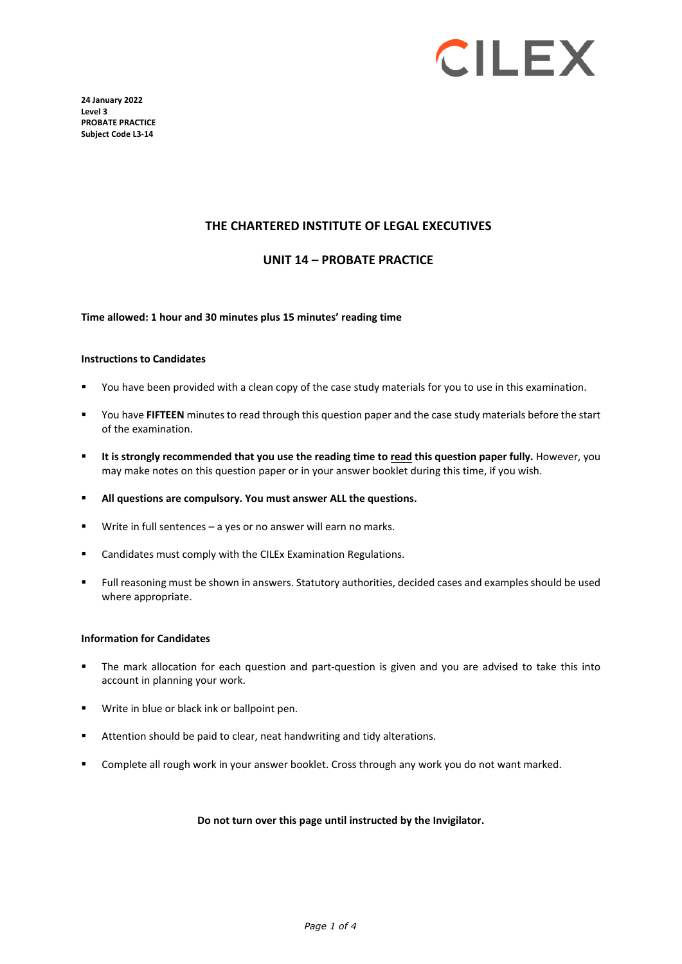

**24 January 2022 Level 3 PROBATE PRACTICE Subject Code L3-14**

### **THE CHARTERED INSTITUTE OF LEGAL EXECUTIVES**

### **UNIT 14 – PROBATE PRACTICE**

**Time allowed: 1 hour and 30 minutes plus 15 minutes' reading time**

#### **Instructions to Candidates**

- You have been provided with a clean copy of the case study materials for you to use in this examination.
- You have **FIFTEEN** minutes to read through this question paper and the case study materials before the start of the examination.
- **It is strongly recommended that you use the reading time to read this question paper fully.** However, you may make notes on this question paper or in your answer booklet during this time, if you wish.
- **All questions are compulsory. You must answer ALL the questions.**
- Write in full sentences a yes or no answer will earn no marks.
- **EXEC** Candidates must comply with the CILEx Examination Regulations.
- Full reasoning must be shown in answers. Statutory authorities, decided cases and examples should be used where appropriate.

#### **Information for Candidates**

- The mark allocation for each question and part-question is given and you are advised to take this into account in planning your work.
- Write in blue or black ink or ballpoint pen.
- Attention should be paid to clear, neat handwriting and tidy alterations.
- Complete all rough work in your answer booklet. Cross through any work you do not want marked.

#### **Do not turn over this page until instructed by the Invigilator.**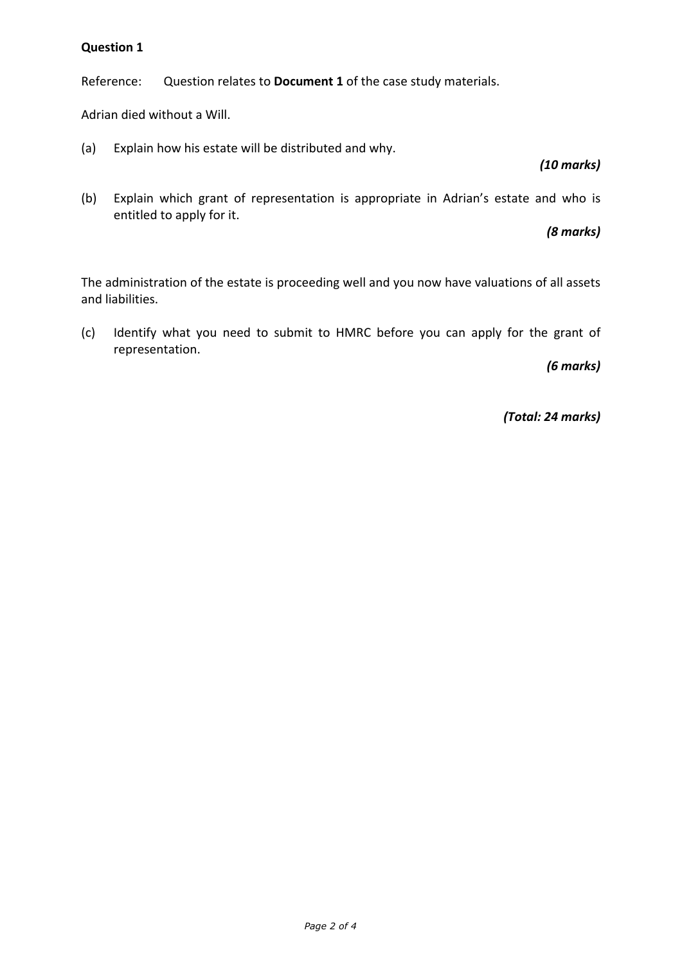# **Question 1**

Reference: Question relates to **Document 1** of the case study materials.

Adrian died without a Will.

(a) Explain how his estate will be distributed and why.

# *(10 marks)*

(b) Explain which grant of representation is appropriate in Adrian's estate and who is entitled to apply for it.

*(8 marks)*

The administration of the estate is proceeding well and you now have valuations of all assets and liabilities.

(c) Identify what you need to submit to HMRC before you can apply for the grant of representation.

*(6 marks)*

*(Total: 24 marks)*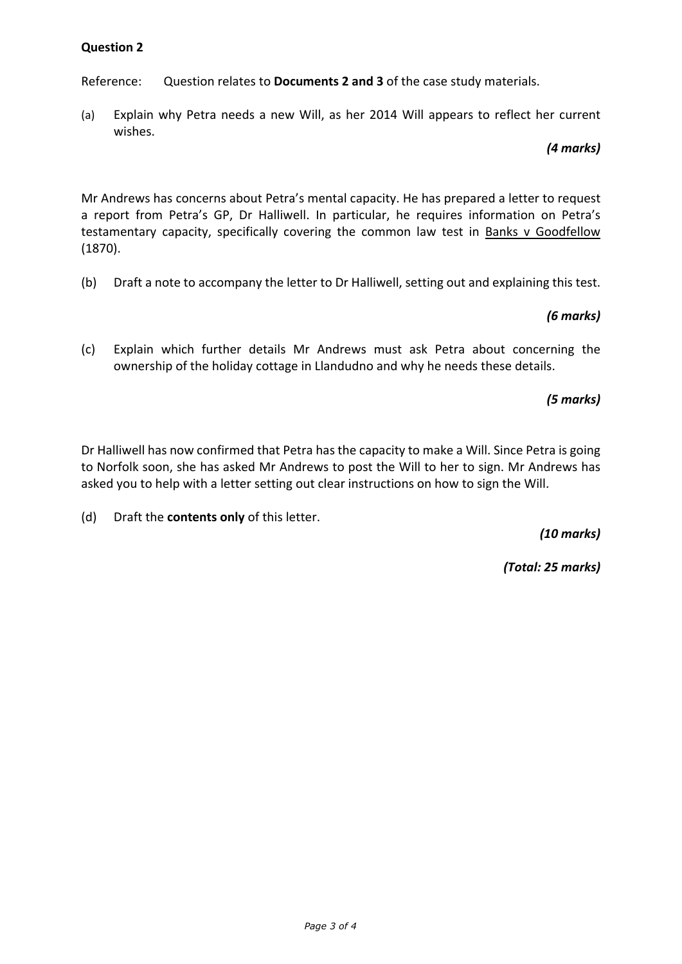# **Question 2**

Reference: Question relates to **Documents 2 and 3** of the case study materials.

(a) Explain why Petra needs a new Will, as her 2014 Will appears to reflect her current wishes.

## *(4 marks)*

Mr Andrews has concerns about Petra's mental capacity. He has prepared a letter to request a report from Petra's GP, Dr Halliwell. In particular, he requires information on Petra's testamentary capacity, specifically covering the common law test in Banks v Goodfellow (1870).

(b) Draft a note to accompany the letter to Dr Halliwell, setting out and explaining this test.

# *(6 marks)*

(c) Explain which further details Mr Andrews must ask Petra about concerning the ownership of the holiday cottage in Llandudno and why he needs these details.

# *(5 marks)*

Dr Halliwell has now confirmed that Petra has the capacity to make a Will. Since Petra is going to Norfolk soon, she has asked Mr Andrews to post the Will to her to sign. Mr Andrews has asked you to help with a letter setting out clear instructions on how to sign the Will.

(d) Draft the **contents only** of this letter.

*(10 marks)*

*(Total: 25 marks)*